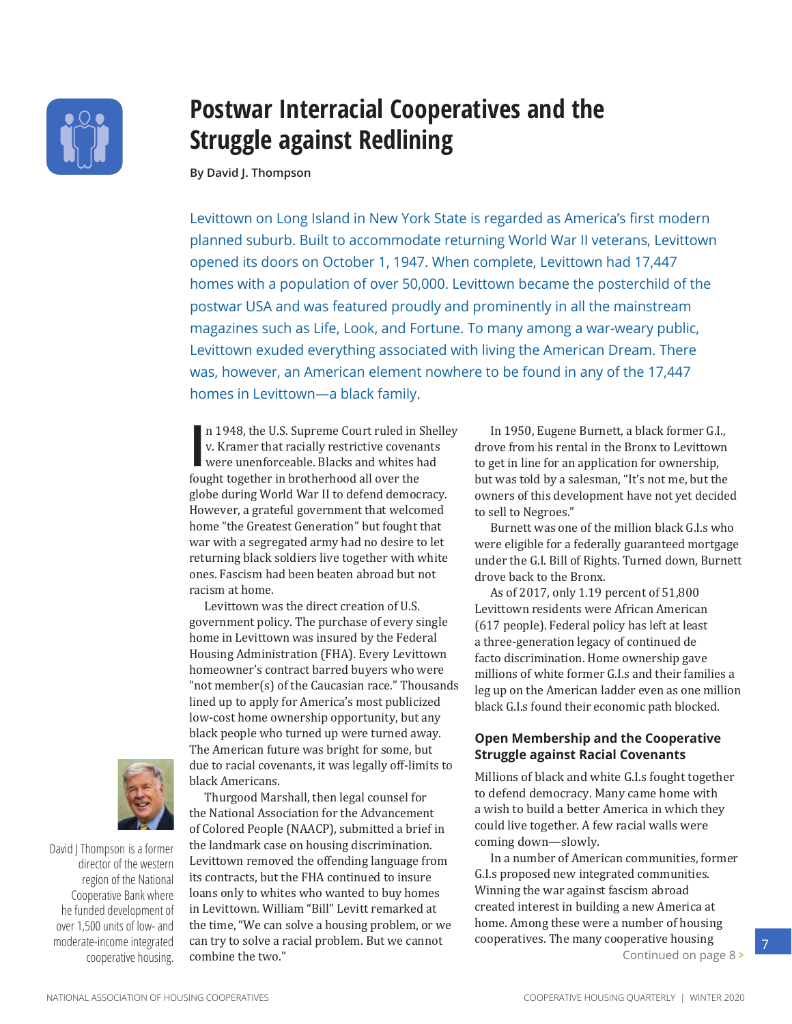<span id="page-0-0"></span>

# **Postwar Interracial Cooperatives and the Struggle against Redlining**

By David J. Thompson

Levittown on Long Island in New York State is regarded as America's first modern planned suburb. Built to accommodate returning World War II veterans, Levittown opened its doors on October 1, 1947. When complete, Levittown had 17,447 homes with a population of over 50,000. Levittown became the posterchild of the postwar USA and was featured proudly and prominently in all the mainstream magazines such as Life, Look, and Fortune. To many among a war-weary public, Levittown exuded everything associated with living the American Dream. There was, however, an American element nowhere to be found in any of the 17,447 homes in Levittown-a black family.

n 1948, the U.S. Supreme Court ruled in Shelley v. Kramer that racially restrictive covenants were unenforceable. Blacks and whites had fought together in brotherhood all over the globe during World War II to defend democracy. However, a grateful government that welcomed home "the Greatest Generation" but fought that war with a segregated army had no desire to let returning black soldiers live together with white ones. Fascism had been beaten abroad but not racism at home.

Levittown was the direct creation of U.S. government policy. The purchase of every single home in Levittown was insured by the Federal Housing Administration (FHA). Every Levittown homeowner's contract barred buyers who were "not member(s) of the Caucasian race." Thousands lined up to apply for America's most publicized low-cost home ownership opportunity, but any black people who turned up were turned away. The American future was bright for some, but due to racial covenants, it was legally off-limits to black Americans.



David | Thompson is a former director of the western region of the National Cooperative Bank where he funded development of over 1,500 units of low- and moderate-income integrated cooperative housing.

Thurgood Marshall, then legal counsel for the National Association for the Advancement of Colored People (NAACP), submitted a brief in the landmark case on housing discrimination. Levittown removed the offending language from its contracts, but the FHA continued to insure loans only to whites who wanted to buy homes in Levittown. William "Bill" Levitt remarked at the time, "We can solve a housing problem, or we can try to solve a racial problem. But we cannot combine the two."

In 1950, Eugene Burnett, a black former G.I., drove from his rental in the Bronx to Levittown to get in line for an application for ownership, but was told by a salesman, "It's not me, but the owners of this development have not yet decided to sell to Negroes."

Burnett was one of the million black G.I.s who were eligible for a federally guaranteed mortgage under the G.I. Bill of Rights. Turned down, Burnett drove back to the Bronx.

As of 2017, only 1.19 percent of 51,800 Levittown residents were African American (617 people). Federal policy has left at least a three-generation legacy of continued de facto discrimination. Home ownership gave millions of white former G.I.s and their families a leg up on the American ladder even as one million black G.I.s found their economic path blocked.

## **Open Membership and the Cooperative Struggle against Racial Covenants**

Millions of black and white G.I.s fought together to defend democracy. Many came home with a wish to build a better America in which they could live together. A few racial walls were coming down-slowly.

In a number of American communities, former G.I.s proposed new integrated communities. Winning the war against fascism abroad created interest in building a new America at home. Among these were a number of housing cooperatives. The many cooperative housing Continued on page 8 >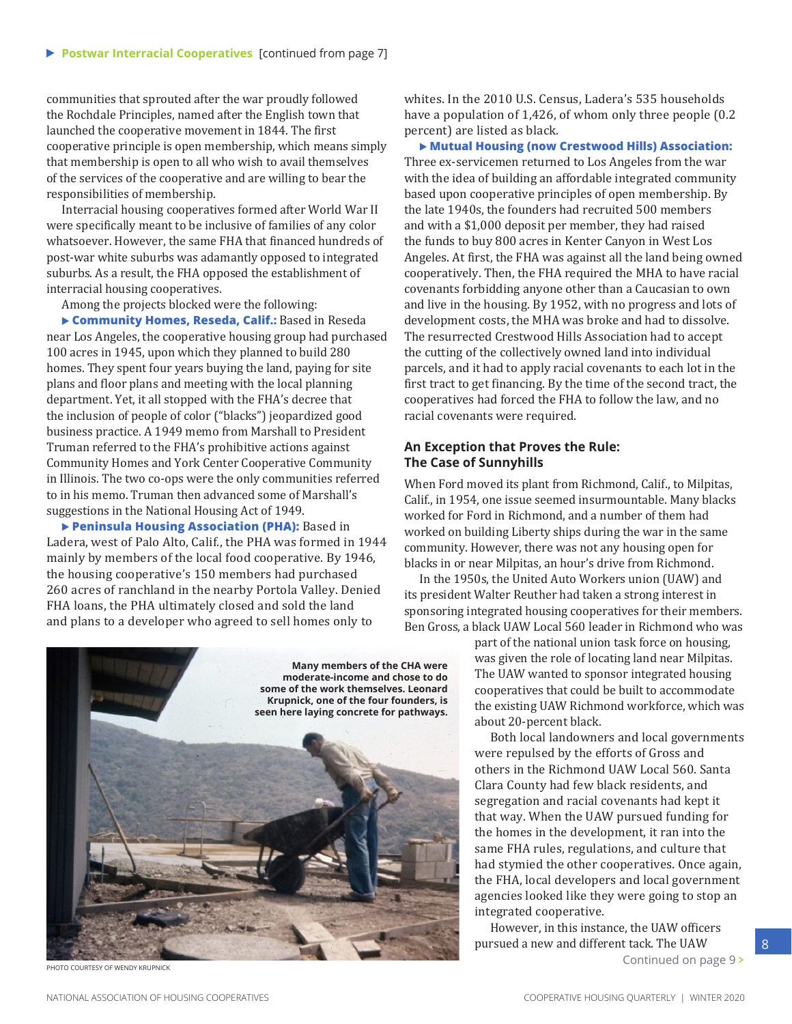communities that sprouted after the war proudly followed the Rochdale Principles, named after the English town that launched the cooperative movement in 1844. The first cooperative principle is open membership, which means simply that membership is open to all who wish to avail themselves of the services of the cooperative and are willing to bear the responsibilities of membership.

Interracial housing cooperatives formed after World War II were specifically meant to be inclusive of families of any color whatsoever. However, the same FHA that financed hundreds of post-war white suburbs was adamantly opposed to integrated suburbs. As a result, the FHA opposed the establishment of interracial housing cooperatives.

Among the projects blocked were the following:

 **Community Homes, Reseda, Calif.:** Based in Reseda near Los Angeles, the cooperative housing group had purchased 100 acres in 1945, upon which they planned to build 280 homes. They spent four years buying the land, paying for site plans and floor plans and meeting with the local planning department. Yet, it all stopped with the FHA's decree that the inclusion of people of color ("blacks") jeopardized good business practice. A 1949 memo from Marshall to President Truman referred to the FHA's prohibitive actions against Community Homes and York Center Cooperative Community in Illinois. The two co-ops were the only communities referred to in his memo. Truman then advanced some of Marshall's suggestions in the National Housing Act of 1949.

 **Peninsula Housing Association (PHA):** Based in Ladera, west of Palo Alto, Calif., the PHA was formed in 1944 mainly by members of the local food cooperative. By 1946, the housing cooperative's 150 members had purchased 260 acres of ranchland in the nearby Portola Valley. Denied FHA loans, the PHA ultimately closed and sold the land and plans to a developer who agreed to sell homes only to



**PHOTO COURTESY OF WENDY KRUPNICK** 

whites. In the 2010 U.S. Census, Ladera's 535 households have a population of 1,426, of whom only three people (0.2 percent) are listed as black.

**Mutual Housing (now Crestwood Hills) Association:** Three ex-servicemen returned to Los Angeles from the war with the idea of building an affordable integrated community based upon cooperative principles of open membership. By the late 1940s, the founders had recruited 500 members and with a \$1,000 deposit per member, they had raised the funds to buy 800 acres in Kenter Canyon in West Los Angeles. At first, the FHA was against all the land being owned cooperatively. Then, the FHA required the MHA to have racial covenants forbidding anyone other than a Caucasian to own and live in the housing. By 1952, with no progress and lots of development costs, the MHA was broke and had to dissolve. The resurrected Crestwood Hills Association had to accept the cutting of the collectively owned land into individual parcels, and it had to apply racial covenants to each lot in the first tract to get financing. By the time of the second tract, the cooperatives had forced the FHA to follow the law, and no racial covenants were required.

### **An Exception that Proves the Rule: The Case of Sunnyhills**

When Ford moved its plant from Richmond, Calif., to Milpitas, Calif., in 1954, one issue seemed insurmountable. Many blacks worked for Ford in Richmond, and a number of them had worked on building Liberty ships during the war in the same community. However, there was not any housing open for blacks in or near Milpitas, an hour's drive from Richmond.

In the 1950s, the United Auto Workers union (UAW) and its president Walter Reuther had taken a strong interest in sponsoring integrated housing cooperatives for their members. Ben Gross, a black UAW Local 560 leader in Richmond who was

> part of the national union task force on housing, was given the role of locating land near Milpitas. The UAW wanted to sponsor integrated housing cooperatives that could be built to accommodate the existing UAW Richmond workforce, which was about 20-percent black.

> Both local landowners and local governments were repulsed by the efforts of Gross and others in the Richmond UAW Local 560. Santa Clara County had few black residents, and segregation and racial covenants had kept it that way. When the UAW pursued funding for the homes in the development, it ran into the same FHA rules, regulations, and culture that had stymied the other cooperatives. Once again, the FHA, local developers and local government agencies looked like they were going to stop an integrated cooperative.

However, in this instance, the UAW officers pursued a new and different tack. The UAW [Continued on page 9](#page-0-0) **>**

8